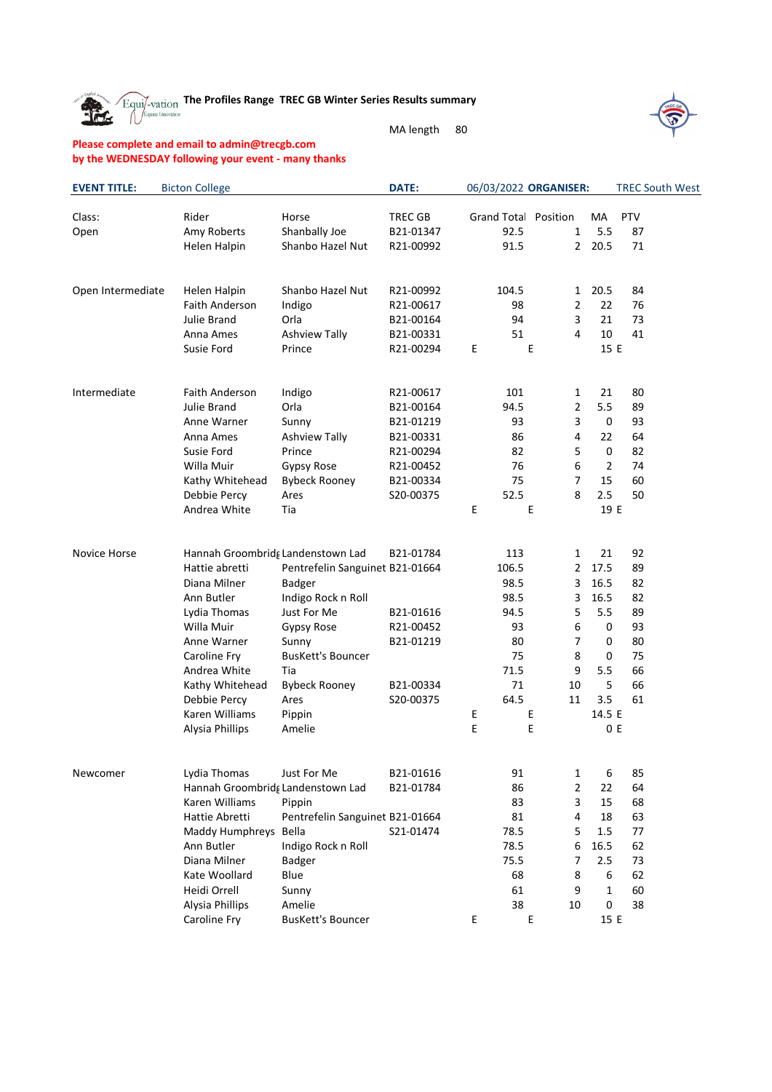Equi<sup>t-</sup>vation The Profiles Range TREC GB Winter Series Results summary

MA length 80

## **Please complete and email to admin@trecgb.com by the WEDNESDAY following your event - many thanks**

The

| <b>EVENT TITLE:</b> | <b>Bicton College</b>             |                                 | DATE:          |   |       | 06/03/2022 ORGANISER: |                |     | <b>TREC South West</b> |
|---------------------|-----------------------------------|---------------------------------|----------------|---|-------|-----------------------|----------------|-----|------------------------|
| Class:              | Rider                             | Horse                           | <b>TREC GB</b> |   |       | Grand Total Position  | MA             | PTV |                        |
| Open                | Amy Roberts                       | Shanbally Joe                   | B21-01347      |   | 92.5  | $\mathbf{1}$          | 5.5            | 87  |                        |
|                     | Helen Halpin                      | Shanbo Hazel Nut                | R21-00992      |   | 91.5  | $\overline{2}$        | 20.5           | 71  |                        |
| Open Intermediate   | Helen Halpin                      | Shanbo Hazel Nut                | R21-00992      |   | 104.5 | 1                     | 20.5           | 84  |                        |
|                     | Faith Anderson                    | Indigo                          | R21-00617      |   | 98    | 2                     | 22             | 76  |                        |
|                     | Julie Brand                       | Orla                            | B21-00164      |   | 94    | 3                     | 21             | 73  |                        |
|                     | Anna Ames                         | <b>Ashview Tally</b>            | B21-00331      |   | 51    | 4                     | 10             | 41  |                        |
|                     | Susie Ford                        | Prince                          | R21-00294      | Е | E     |                       | 15 E           |     |                        |
| Intermediate        | Faith Anderson                    | Indigo                          | R21-00617      |   | 101   | $\mathbf{1}$          | 21             | 80  |                        |
|                     | Julie Brand                       | Orla                            | B21-00164      |   | 94.5  | 2                     | 5.5            | 89  |                        |
|                     | Anne Warner                       | Sunny                           | B21-01219      |   | 93    | 3                     | 0              | 93  |                        |
|                     | Anna Ames                         | <b>Ashview Tally</b>            | B21-00331      |   | 86    | 4                     | 22             | 64  |                        |
|                     | Susie Ford                        | Prince                          | R21-00294      |   | 82    | 5                     | 0              | 82  |                        |
|                     | Willa Muir                        | Gypsy Rose                      | R21-00452      |   | 76    | 6                     | $\overline{2}$ | 74  |                        |
|                     | Kathy Whitehead                   | <b>Bybeck Rooney</b>            | B21-00334      |   | 75    | 7                     | 15             | 60  |                        |
|                     | Debbie Percy                      | Ares                            | S20-00375      |   | 52.5  | 8                     | 2.5            | 50  |                        |
|                     | Andrea White                      | Tia                             |                | Е | E     |                       | 19 E           |     |                        |
| Novice Horse        | Hannah Groombridg Landenstown Lad |                                 | B21-01784      |   | 113   | 1                     | 21             | 92  |                        |
|                     | Hattie abretti                    | Pentrefelin Sanguinet B21-01664 |                |   | 106.5 | $\overline{2}$        | 17.5           | 89  |                        |
|                     | Diana Milner                      | Badger                          |                |   | 98.5  | 3                     | 16.5           | 82  |                        |
|                     | Ann Butler                        | Indigo Rock n Roll              |                |   | 98.5  | 3                     | 16.5           | 82  |                        |
|                     | Lydia Thomas                      | Just For Me                     | B21-01616      |   | 94.5  | 5                     | 5.5            | 89  |                        |
|                     | Willa Muir                        | Gypsy Rose                      | R21-00452      |   | 93    | 6                     | 0              | 93  |                        |
|                     | Anne Warner                       | Sunny                           | B21-01219      |   | 80    | 7                     | 0              | 80  |                        |
|                     | Caroline Fry                      | <b>BusKett's Bouncer</b>        |                |   | 75    | 8                     | 0              | 75  |                        |
|                     | Andrea White                      | Tia                             |                |   | 71.5  | $\boldsymbol{9}$      | 5.5            | 66  |                        |
|                     | Kathy Whitehead                   | <b>Bybeck Rooney</b>            | B21-00334      |   | 71    | 10                    | 5              | 66  |                        |
|                     | Debbie Percy                      | Ares                            | S20-00375      |   | 64.5  | 11                    | 3.5            | 61  |                        |
|                     | Karen Williams                    | Pippin                          |                | Е | E     |                       | 14.5 E         |     |                        |
|                     | Alysia Phillips                   | Amelie                          |                | Е | E     |                       |                | 0 E |                        |
| Newcomer            | Lydia Thomas                      | Just For Me                     | B21-01616      |   | 91    | 1                     | 6              | 85  |                        |
|                     | Hannah Groombridg Landenstown Lad |                                 | B21-01784      |   | 86    | 2                     | 22             | 64  |                        |
|                     | Karen Williams                    | Pippin                          |                |   | 83    | 3                     | 15             | 68  |                        |
|                     | Hattie Abretti                    | Pentrefelin Sanguinet B21-01664 |                |   | 81    | 4                     | 18             | 63  |                        |
|                     | Maddy Humphreys Bella             |                                 | S21-01474      |   | 78.5  | 5                     | 1.5            | 77  |                        |
|                     | Ann Butler                        | Indigo Rock n Roll              |                |   | 78.5  | 6                     | 16.5           | 62  |                        |
|                     | Diana Milner                      | Badger                          |                |   | 75.5  | 7                     | 2.5            | 73  |                        |
|                     | Kate Woollard                     | Blue                            |                |   | 68    | 8                     | 6              | 62  |                        |
|                     | Heidi Orrell                      | Sunny                           |                |   | 61    | 9                     | 1              | 60  |                        |
|                     | Alysia Phillips                   | Amelie                          |                |   | 38    | 10                    | 0              | 38  |                        |
|                     | Caroline Fry                      | <b>BusKett's Bouncer</b>        |                | Ε | Ε     |                       | 15 E           |     |                        |

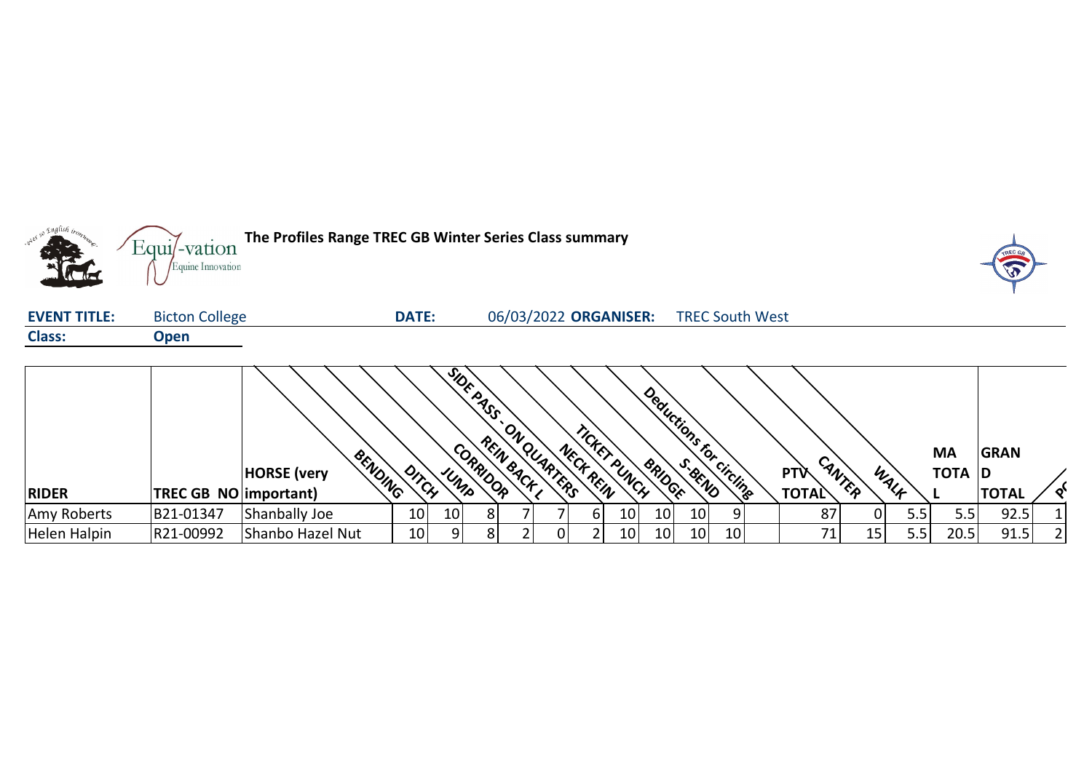

|              |                              |                               |                 |                 | SiDE PASS | $O_{\boldsymbol{\ell}}$ |          | n CKKY<br>Nec. |                 |    | Deductions for circlings |    |                            |        |               | MA     | <b>GRAN</b>  |  |
|--------------|------------------------------|-------------------------------|-----------------|-----------------|-----------|-------------------------|----------|----------------|-----------------|----|--------------------------|----|----------------------------|--------|---------------|--------|--------------|--|
| <b>RIDER</b> | <b>TREC GB NO important)</b> | BENDING<br><b>HORSE</b> (very | DITCH           | UMP             | CORRIDOR  | REIN BACK               | OUARTERS | CH REIN        | . PUNCH         |    |                          |    | <b>PTV</b><br><b>TOTAL</b> | CANTER | WALK          | TOTA D | <b>TOTAL</b> |  |
| Amy Roberts  | B21-01347                    | Shanbally Joe                 | 10 <sup>1</sup> | 10 <sup>1</sup> | 81        |                         |          | bl             | 10              | 10 | 10                       | O  | 87                         |        | 5.5'          |        | 92.5         |  |
| Helen Halpin | R21-00992                    | Shanbo Hazel Nut              | 10 <sup>1</sup> | ΩI              |           |                         |          |                | 10 <sub>l</sub> | 10 | 10                       | 10 | 71                         | 15     | $5.5^{\circ}$ | 20.5   | 91.5         |  |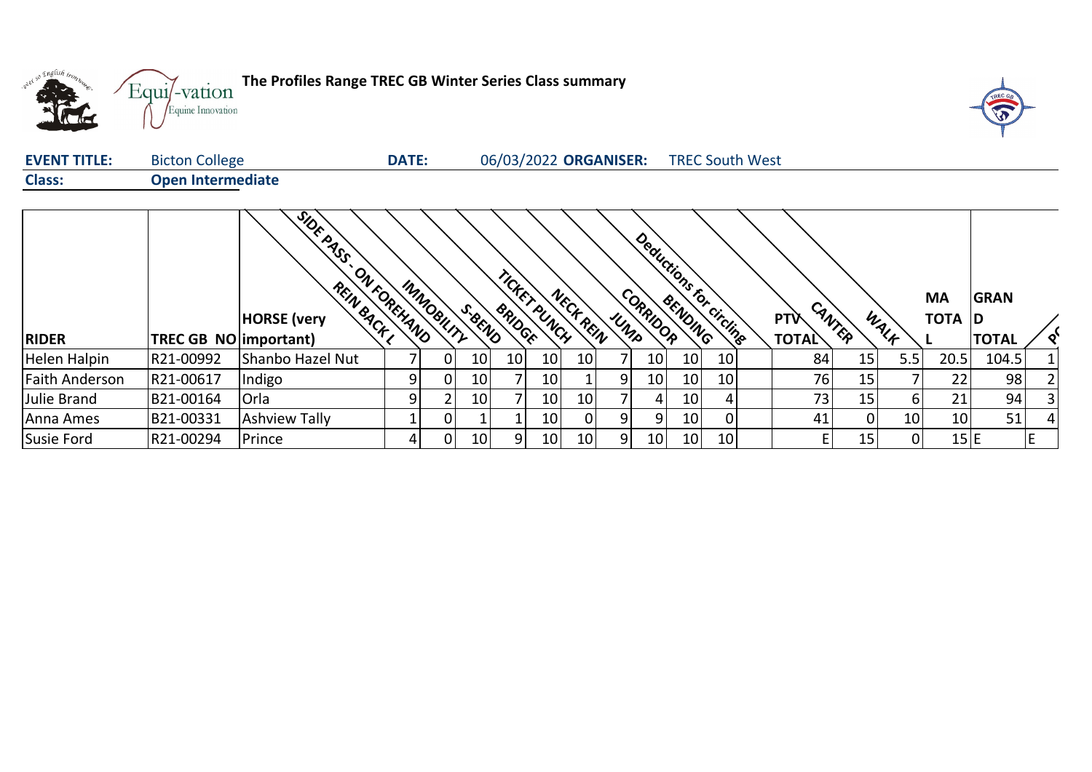

| <b>EVENT TITLE:</b> | <b>Bicton College</b>    |                                                                    | <b>DATE:</b> |            |                 |        |                 | 06/03/2022 ORGANISER: |     |          |                 | <b>TREC South West</b>  |                            |                 |                 |                     |                             |   |
|---------------------|--------------------------|--------------------------------------------------------------------|--------------|------------|-----------------|--------|-----------------|-----------------------|-----|----------|-----------------|-------------------------|----------------------------|-----------------|-----------------|---------------------|-----------------------------|---|
| <b>Class:</b>       | <b>Open Intermediate</b> |                                                                    |              |            |                 |        |                 |                       |     |          |                 |                         |                            |                 |                 |                     |                             |   |
| <b>RIDER</b>        | TREC GB NO   important)  | <b>SIDE ASS</b><br>ONFOREHAND<br>REIN BACK I<br><b>HORSE</b> (very |              | IMMOBILITY | S. BEND         | BRIDGE | TICKET PUNCH    | NECK REIN             | UMP | CORRIDOR |                 | Deductions for circuits | <b>PTV</b><br><b>TOTAL</b> | CANTER          | WALK            | <b>MA</b><br>TOTA D | <b>GRAN</b><br><b>TOTAL</b> |   |
| Helen Halpin        | R21-00992                | Shanbo Hazel Nut                                                   |              |            |                 | 10     |                 |                       | 7   | 10       | 10 <sup>1</sup> |                         |                            | 15              | 5.5             | 20.5                | 104.5                       |   |
|                     |                          |                                                                    |              | 0          | 10 <sup>1</sup> |        | 10              | 10                    |     |          |                 | 10                      | 84                         |                 |                 |                     |                             |   |
| Faith Anderson      | R21-00617                | Indigo                                                             |              | 0          | 10 <sub>1</sub> |        | 10 <sub>l</sub> |                       | 9   | 10       | 10              | 10                      | 76                         | 15 <sub>1</sub> |                 | 22                  | 98                          |   |
| Julie Brand         | B21-00164                | Orla                                                               |              |            | 10 <sup>1</sup> |        | 10 <sup>1</sup> | 10                    |     | 4        | 10              | 4                       | 731                        | 15 <sub>1</sub> | 61              | 21                  | 94                          |   |
| Anna Ames           | B21-00331                | <b>Ashview Tally</b>                                               |              | 0          |                 |        | 10              |                       | 9   | 9.       | 10              |                         | 41                         | $\overline{0}$  | 10 <sup>1</sup> | 10 <sup>1</sup>     | 51                          |   |
| Susie Ford          | R21-00294                | Prince                                                             | 4            | 0          | 10 <sup>1</sup> | 9      | 10 <sub>l</sub> | 10                    | 9   | 10       | 10 <sup>1</sup> | 10 <sup>1</sup>         | E                          | 15              | 01              | 15 E                |                             | E |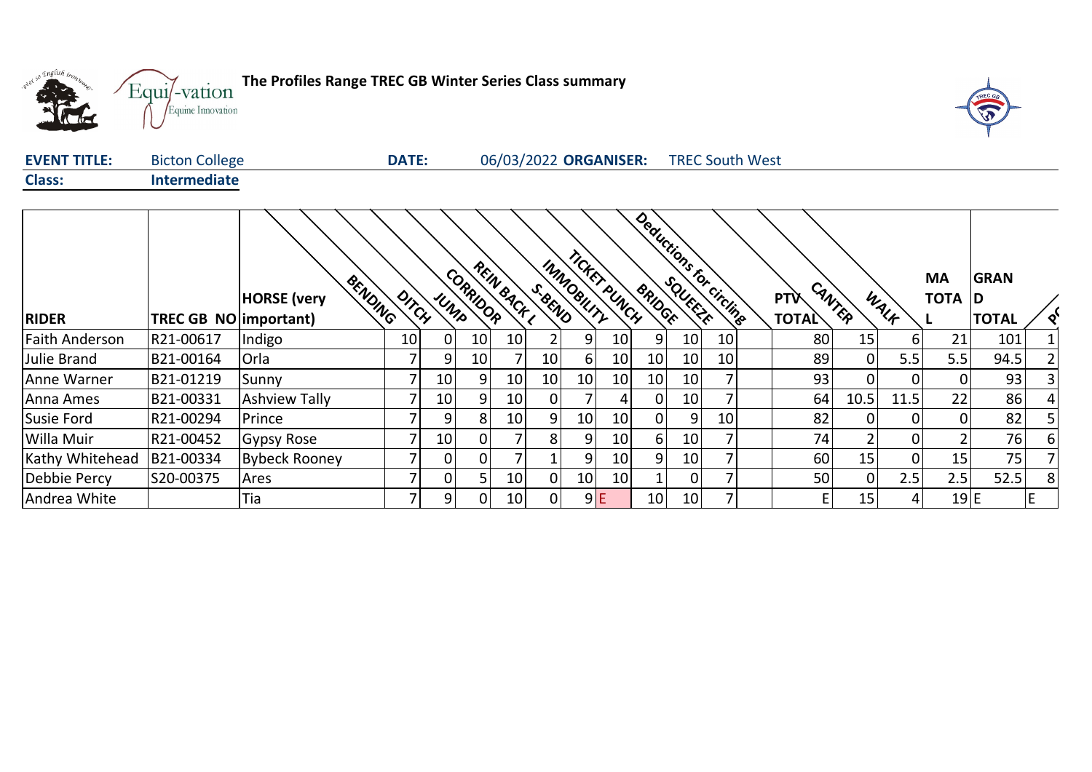



| <b>EVENT TITLE:</b> | <b>Bicton College</b> | DATE: | 06/03/2022 ORGANISER: | <b>TREC South West</b> |
|---------------------|-----------------------|-------|-----------------------|------------------------|
| <b>Class:</b>       | Intermediate          |       |                       |                        |

|                       |                              |                               |       |      |                 |            |                |            | TICKET PUNCH    |                |                 | Deductions for circlings |              |                 |              | <b>MA</b>       | <b>GRAN</b>  |   |
|-----------------------|------------------------------|-------------------------------|-------|------|-----------------|------------|----------------|------------|-----------------|----------------|-----------------|--------------------------|--------------|-----------------|--------------|-----------------|--------------|---|
|                       |                              | BENDING<br><b>HORSE</b> (very | DITCH | UMPS | CORRIDOR        | REIN BACKL | S.BEND         | IMMOBILITY |                 |                |                 |                          | <b>PTV</b>   | CANTER          | WALK         | <b>TOTA D</b>   |              |   |
| <b>RIDER</b>          | <b>TREC GB NO important)</b> |                               |       |      |                 |            |                |            |                 |                |                 |                          | <b>TOTAL</b> |                 |              |                 | <b>TOTAL</b> |   |
| <b>Faith Anderson</b> | R21-00617                    | Indigo                        | 10    | 0    | 10 <sup>1</sup> | 10         | 2              | 9          | 10              | 9              | 10 <sup>1</sup> | 10                       | 80           | 15 <sub>1</sub> | 61           | 21              | 101          |   |
| Julie Brand           | B21-00164                    | Orla                          |       | 9    | 10              |            | 10             | 6          | 10              | 10             | 10 <sup>1</sup> | 10                       | 89           | $\Omega$        | 5.5          | 5.5             | 94.5         |   |
| Anne Warner           | B21-01219                    | Sunny                         |       | 10   | 9.              | 10         | 10             | 10         | 10              | 10             | 10 <sup>1</sup> |                          | 93           | $\Omega$        | 01           |                 | 93           |   |
| Anna Ames             | B21-00331                    | <b>Ashview Tally</b>          |       | 10   | 9               | 10         | $\overline{0}$ |            | 4               | 0              | 10 <sup>1</sup> |                          | 64           | 10.5            | 11.5         | 22              | 86           |   |
| Susie Ford            | R21-00294                    | Prince                        |       | 9    | 8               | 10         | 9              | 10         | 10              | $\overline{0}$ | 9               | 10 <sub>1</sub>          | 82           | $\Omega$        | 01           |                 | 82           |   |
| Willa Muir            | R21-00452                    | Gypsy Rose                    |       | 10   | 0               |            | 8              | 9          | 10              | 6              | 10 <sup>1</sup> |                          | 74           |                 | 01           |                 | 76           |   |
| Kathy Whitehead       | B21-00334                    | <b>Bybeck Rooney</b>          |       | 0    | 0               |            |                | 9          | 10 <sub>l</sub> | 9              | 10 <sup>1</sup> |                          | 60           | 15              | 01           | 15 <sub>1</sub> | 75           |   |
| Debbie Percy          | S20-00375                    | Ares                          |       | 0    | 5.              | 10         | $\overline{0}$ | 10         | 10 <sup>1</sup> |                | 0               |                          | 50           | 0               | 2.5          | 2.5             | 52.5         | 8 |
| Andrea White          |                              | Tia                           |       | 9    | 0               | 10         | 0              |            | 9E              | 10             | 10 <sup>1</sup> |                          |              | 15              | $\mathbf{4}$ | 19 E            |              | E |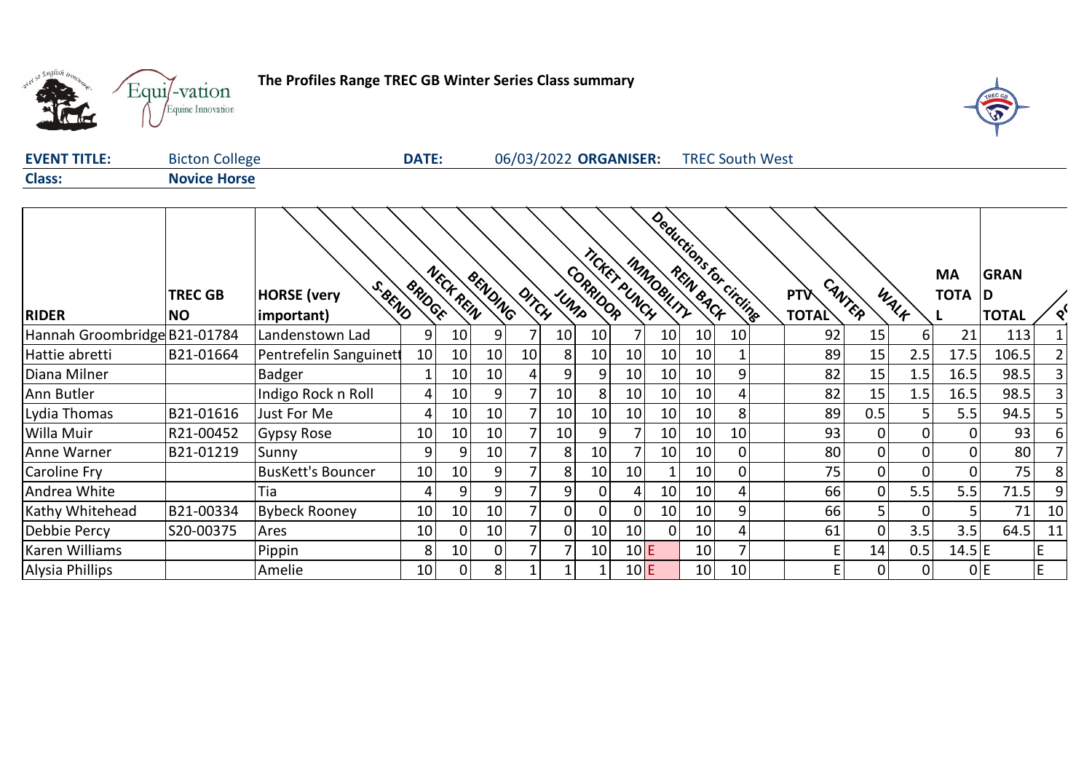

## **The Profiles Range TREC GB Winter Series Class summary**



| <b>EVENT TITLE:</b> | <b>Bicton College</b> | <b>DATE:</b> | 06/03/2022 ORGANISER: | <b>TREC South West</b> |  |
|---------------------|-----------------------|--------------|-----------------------|------------------------|--|
| <b>Class:</b>       | <b>Novice Horse</b>   |              |                       |                        |  |
|                     |                       |              |                       |                        |  |
|                     |                       |              | €<br>$\infty$         |                        |  |

|                              | <b>TREC GB</b> | S. BEND<br><b>HORSE</b> (very | <b>BRIDGE</b> | NECK REIN | BENDING         |                |                 | CORRIDOR | TICKET PUNCH | INMOBILITY      |                 | ductions for circling | <b>PTV</b>   | CANTER |                | <b>MA</b><br><b>TOTA D</b> | <b>GRAN</b>  |    |
|------------------------------|----------------|-------------------------------|---------------|-----------|-----------------|----------------|-----------------|----------|--------------|-----------------|-----------------|-----------------------|--------------|--------|----------------|----------------------------|--------------|----|
| <b>RIDER</b>                 | <b>NO</b>      | important)                    |               |           |                 | DITCH          | UNIS            |          |              |                 |                 |                       | <b>TOTAL</b> |        | WALK           |                            | <b>TOTAL</b> |    |
| Hannah Groombridge B21-01784 |                | Landenstown Lad               | 9             | 10        | 91              |                | 10 <sub>1</sub> | 10       |              | 10              | 10              | 10                    | 92           | 15     | 6              | 21                         | 113          |    |
| Hattie abretti               | B21-01664      | Pentrefelin Sanguinet         | 10            | 10        | 10              | 10             | 8               | 10       | 10           | 10              | 10              |                       | 89           | 15     | 2.5            | 17.5                       | 106.5        |    |
| Diana Milner                 |                | <b>Badger</b>                 |               | 10        | 10 <sup>1</sup> |                |                 | 9        | 10           | 10              | 10              | 9                     | 82           | 15     | 1.5            | 16.5                       | 98.5         |    |
| Ann Butler                   |                | Indigo Rock n Roll            |               | 10        | 9               |                | 10              | 8        | 10           | 10              | 10              | 4                     | 82           | 15     | 1.5            | 16.5                       | 98.5         |    |
| Lydia Thomas                 | B21-01616      | Just For Me                   |               | 10        | 10              |                | 10 <sub>l</sub> | 10       | 10           | 10              | 10              | 8                     | 89           | 0.5    |                | 5.5                        | 94.5         |    |
| Willa Muir                   | R21-00452      | <b>Gypsy Rose</b>             | 10            | 10        | 10              |                | 10              | 9        |              | 10 <sub>1</sub> | 10              | 10 <sub>1</sub>       | 93           | 0      | $\Omega$       |                            | 93           |    |
| Anne Warner                  | B21-01219      | Sunny                         | 9             | 9         | 10              |                | 81              | 10       |              | 10              | 10              | 0                     | 80           | 0      | 0              |                            | 80           |    |
| Caroline Fry                 |                | <b>BusKett's Bouncer</b>      | 10            | 10        | 9               |                | 81              | 10       | 10           |                 | 10              | 0                     | 75           | 0      | $\mathbf 0$    |                            | 75           |    |
| Andrea White                 |                | Tia                           |               | 9         | 9               |                | 9               |          | 4            | 10              | 10              | 4.                    | 66           | 0      | 5.5            | 5.5                        | 71.5         |    |
| Kathy Whitehead              | B21-00334      | <b>Bybeck Rooney</b>          | 10            | 10        | 10              |                | 01              |          | $\Omega$     | 10              | 10              | 9                     | 66           | 5      | 0              |                            | 71           | 10 |
| Debbie Percy                 | S20-00375      | Ares                          | 10            | 0         | 10              | $\overline{7}$ | ΟI              | 10       | 10           | 0               | 10              | 4                     | 61           | 0      | 3.5            | 3.5                        | 64.5         | 11 |
| Karen Williams               |                | Pippin                        | 8             | 10        | ΩI              |                |                 | 10       | 10E          |                 | 10 <sup>1</sup> |                       |              | 14     | 0.5            | $14.5$ E                   |              |    |
| <b>Alysia Phillips</b>       |                | Amelie                        | 10            | 0         | 8 <sup>1</sup>  |                |                 |          | 10E          |                 | 10 <sub>1</sub> | 10                    |              | 0      | $\overline{0}$ |                            | 0 E          | E  |